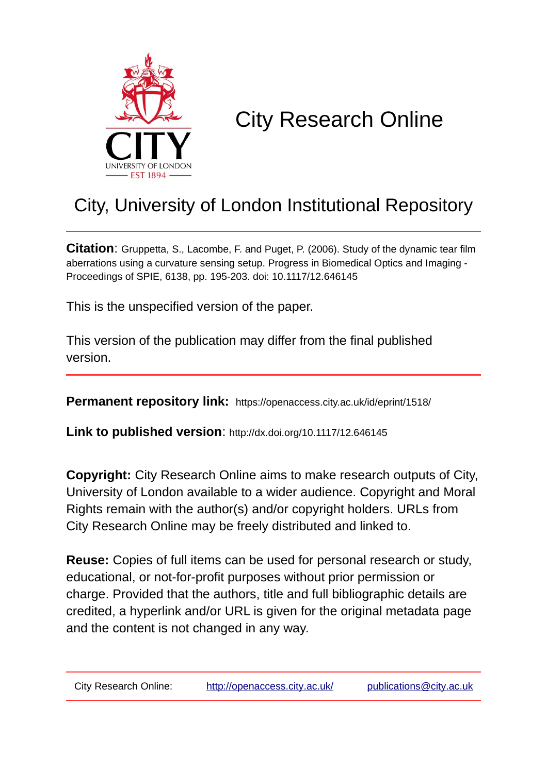

# City Research Online

## City, University of London Institutional Repository

**Citation**: Gruppetta, S., Lacombe, F. and Puget, P. (2006). Study of the dynamic tear film aberrations using a curvature sensing setup. Progress in Biomedical Optics and Imaging - Proceedings of SPIE, 6138, pp. 195-203. doi: 10.1117/12.646145

This is the unspecified version of the paper.

This version of the publication may differ from the final published version.

**Permanent repository link:** https://openaccess.city.ac.uk/id/eprint/1518/

**Link to published version**: http://dx.doi.org/10.1117/12.646145

**Copyright:** City Research Online aims to make research outputs of City, University of London available to a wider audience. Copyright and Moral Rights remain with the author(s) and/or copyright holders. URLs from City Research Online may be freely distributed and linked to.

**Reuse:** Copies of full items can be used for personal research or study, educational, or not-for-profit purposes without prior permission or charge. Provided that the authors, title and full bibliographic details are credited, a hyperlink and/or URL is given for the original metadata page and the content is not changed in any way.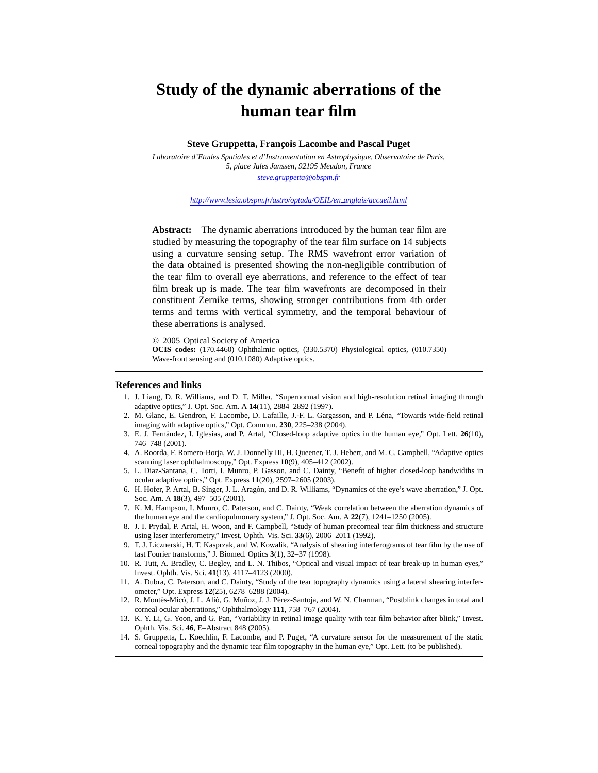### **Study of the dynamic aberrations of the human tear film**

#### **Steve Gruppetta, François Lacombe and Pascal Puget**

*Laboratoire d'Etudes Spatiales et d'Instrumentation en Astrophysique, Observatoire de Paris, 5, place Jules Janssen, 92195 Meudon, France steve.gruppetta@obspm.fr*

*http://www.lesia.obspm.fr/astro/optada/OEIL/en anglais/accueil.html*

**Abstract:** The dynamic aberrations introduced by the human tear film are studied by measuring the topography of the tear film surface on 14 subjects using a curvature sensing setup. The RMS wavefront error variation of the data obtained is presented showing the non-negligible contribution of the tear film to overall eye aberrations, and reference to the effect of tear film break up is made. The tear film wavefronts are decomposed in their constituent Zernike terms, showing stronger contributions from 4th order terms and terms with vertical symmetry, and the temporal behaviour of these aberrations is analysed.

© 2005 Optical Society of America

**OCIS codes:** (170.4460) Ophthalmic optics, (330.5370) Physiological optics, (010.7350) Wave-front sensing and (010.1080) Adaptive optics.

#### **References and links**

- 1. J. Liang, D. R. Williams, and D. T. Miller, "Supernormal vision and high-resolution retinal imaging through adaptive optics," J. Opt. Soc. Am. A **14**(11), 2884–2892 (1997).
- 2. M. Glanc, E. Gendron, F. Lacombe, D. Lafaille, J.-F. L. Gargasson, and P. Lena, "Towards wide-field retinal ´ imaging with adaptive optics," Opt. Commun. **230**, 225–238 (2004).
- 3. E. J. Fernandez, I. Iglesias, and P. Artal, "Closed-loop adaptive optics in the human eye," Opt. Lett. ´ **26**(10), 746–748 (2001).
- 4. A. Roorda, F. Romero-Borja, W. J. Donnelly III, H. Queener, T. J. Hebert, and M. C. Campbell, "Adaptive optics scanning laser ophthalmoscopy," Opt. Express **10**(9), 405–412 (2002).
- 5. L. Diaz-Santana, C. Torti, I. Munro, P. Gasson, and C. Dainty, "Benefit of higher closed-loop bandwidths in ocular adaptive optics," Opt. Express **11**(20), 2597–2605 (2003).
- 6. H. Hofer, P. Artal, B. Singer, J. L. Aragon, and D. R. Williams, "Dynamics of the eye's wave aberration," J. Opt. ´ Soc. Am. A **18**(3), 497–505 (2001).
- 7. K. M. Hampson, I. Munro, C. Paterson, and C. Dainty, "Weak correlation between the aberration dynamics of the human eye and the cardiopulmonary system," J. Opt. Soc. Am. A **22**(7), 1241–1250 (2005).
- 8. J. I. Prydal, P. Artal, H. Woon, and F. Campbell, "Study of human precorneal tear film thickness and structure using laser interferometry," Invest. Ophth. Vis. Sci. **33**(6), 2006–2011 (1992).
- 9. T. J. Licznerski, H. T. Kasprzak, and W. Kowalik, "Analysis of shearing interferograms of tear film by the use of fast Fourier transforms," J. Biomed. Optics **3**(1), 32–37 (1998).
- 10. R. Tutt, A. Bradley, C. Begley, and L. N. Thibos, "Optical and visual impact of tear break-up in human eyes," Invest. Ophth. Vis. Sci. **41**(13), 4117–4123 (2000).
- 11. A. Dubra, C. Paterson, and C. Dainty, "Study of the tear topography dynamics using a lateral shearing interferometer," Opt. Express **12**(25), 6278–6288 (2004).
- 12. R. Montés-Micó, J. L. Alió, G. Muñoz, J. J. Pérez-Santoja, and W. N. Charman, "Postblink changes in total and corneal ocular aberrations," Ophthalmology **111**, 758–767 (2004).
- 13. K. Y. Li, G. Yoon, and G. Pan, "Variability in retinal image quality with tear film behavior after blink," Invest. Ophth. Vis. Sci. **46**, E–Abstract 848 (2005).
- 14. S. Gruppetta, L. Koechlin, F. Lacombe, and P. Puget, "A curvature sensor for the measurement of the static corneal topography and the dynamic tear film topography in the human eye," Opt. Lett. (to be published).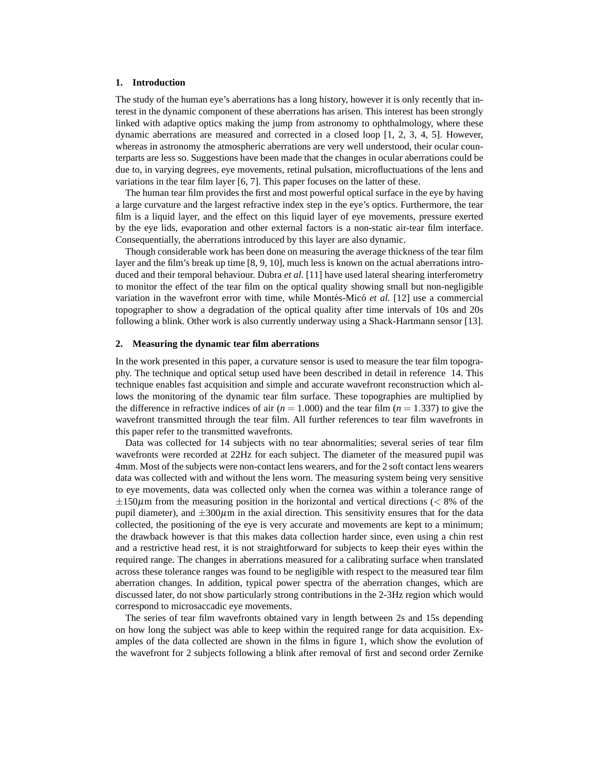#### **1. Introduction**

The study of the human eye's aberrations has a long history, however it is only recently that interest in the dynamic component of these aberrations has arisen. This interest has been strongly linked with adaptive optics making the jump from astronomy to ophthalmology, where these dynamic aberrations are measured and corrected in a closed loop [1, 2, 3, 4, 5]. However, whereas in astronomy the atmospheric aberrations are very well understood, their ocular counterparts are less so. Suggestions have been made that the changes in ocular aberrations could be due to, in varying degrees, eye movements, retinal pulsation, microfluctuations of the lens and variations in the tear film layer [6, 7]. This paper focuses on the latter of these.

The human tear film provides the first and most powerful optical surface in the eye by having a large curvature and the largest refractive index step in the eye's optics. Furthermore, the tear film is a liquid layer, and the effect on this liquid layer of eye movements, pressure exerted by the eye lids, evaporation and other external factors is a non-static air-tear film interface. Consequentially, the aberrations introduced by this layer are also dynamic.

Though considerable work has been done on measuring the average thickness of the tear film layer and the film's break up time [8, 9, 10], much less is known on the actual aberrations introduced and their temporal behaviour. Dubra *et al.* [11] have used lateral shearing interferometry to monitor the effect of the tear film on the optical quality showing small but non-negligible variation in the wavefront error with time, while Montés-Micó *et al.* [12] use a commercial topographer to show a degradation of the optical quality after time intervals of 10s and 20s following a blink. Other work is also currently underway using a Shack-Hartmann sensor [13].

#### **2. Measuring the dynamic tear film aberrations**

In the work presented in this paper, a curvature sensor is used to measure the tear film topography. The technique and optical setup used have been described in detail in reference 14. This technique enables fast acquisition and simple and accurate wavefront reconstruction which allows the monitoring of the dynamic tear film surface. These topographies are multiplied by the difference in refractive indices of air  $(n = 1.000)$  and the tear film  $(n = 1.337)$  to give the wavefront transmitted through the tear film. All further references to tear film wavefronts in this paper refer to the transmitted wavefronts.

Data was collected for 14 subjects with no tear abnormalities; several series of tear film wavefronts were recorded at 22Hz for each subject. The diameter of the measured pupil was 4mm. Most of the subjects were non-contact lens wearers, and for the 2 soft contact lens wearers data was collected with and without the lens worn. The measuring system being very sensitive to eye movements, data was collected only when the cornea was within a tolerance range of  $\pm 150\mu$ m from the measuring position in the horizontal and vertical directions (< 8% of the pupil diameter), and  $\pm 300\mu$ m in the axial direction. This sensitivity ensures that for the data collected, the positioning of the eye is very accurate and movements are kept to a minimum; the drawback however is that this makes data collection harder since, even using a chin rest and a restrictive head rest, it is not straightforward for subjects to keep their eyes within the required range. The changes in aberrations measured for a calibrating surface when translated across these tolerance ranges was found to be negligible with respect to the measured tear film aberration changes. In addition, typical power spectra of the aberration changes, which are discussed later, do not show particularly strong contributions in the 2-3Hz region which would correspond to microsaccadic eye movements.

The series of tear film wavefronts obtained vary in length between 2s and 15s depending on how long the subject was able to keep within the required range for data acquisition. Examples of the data collected are shown in the films in figure 1, which show the evolution of the wavefront for 2 subjects following a blink after removal of first and second order Zernike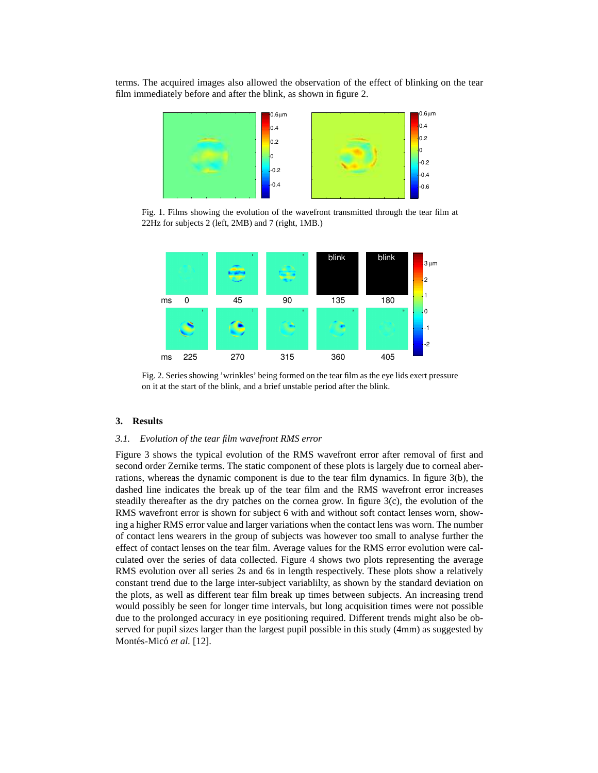terms. The acquired images also allowed the observation of the effect of blinking on the tear film immediately before and after the blink, as shown in figure 2.



Fig. 1. Films showing the evolution of the wavefront transmitted through the tear film at 22Hz for subjects 2 (left, 2MB) and 7 (right, 1MB.)



Fig. 2. Series showing 'wrinkles' being formed on the tear film as the eye lids exert pressure on it at the start of the blink, and a brief unstable period after the blink.

#### **3. Results**

#### *3.1. Evolution of the tear film wavefront RMS error*

Figure 3 shows the typical evolution of the RMS wavefront error after removal of first and second order Zernike terms. The static component of these plots is largely due to corneal aberrations, whereas the dynamic component is due to the tear film dynamics. In figure 3(b), the dashed line indicates the break up of the tear film and the RMS wavefront error increases steadily thereafter as the dry patches on the cornea grow. In figure  $3(c)$ , the evolution of the RMS wavefront error is shown for subject 6 with and without soft contact lenses worn, showing a higher RMS error value and larger variations when the contact lens was worn. The number of contact lens wearers in the group of subjects was however too small to analyse further the effect of contact lenses on the tear film. Average values for the RMS error evolution were calculated over the series of data collected. Figure 4 shows two plots representing the average RMS evolution over all series 2s and 6s in length respectively. These plots show a relatively constant trend due to the large inter-subject variablilty, as shown by the standard deviation on the plots, as well as different tear film break up times between subjects. An increasing trend would possibly be seen for longer time intervals, but long acquisition times were not possible due to the prolonged accuracy in eye positioning required. Different trends might also be observed for pupil sizes larger than the largest pupil possible in this study (4mm) as suggested by Montés-Micó et al. [12].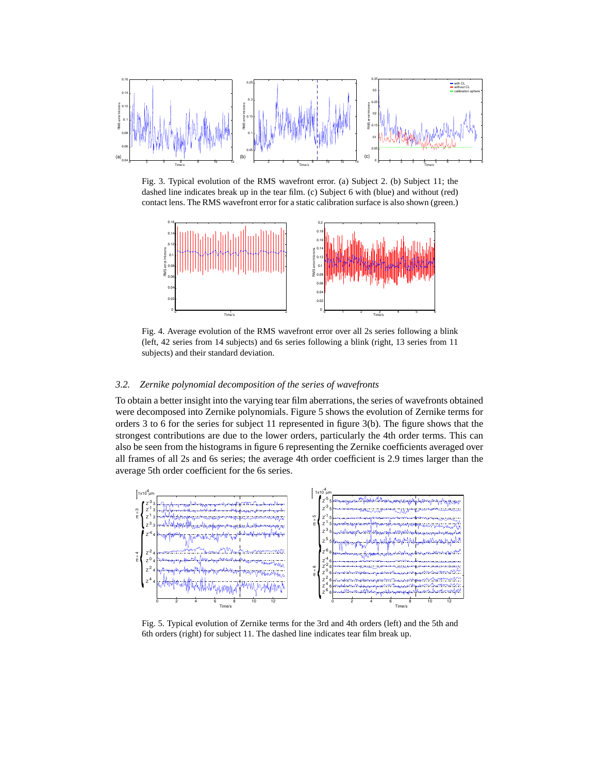

Fig. 3. Typical evolution of the RMS wavefront error. (a) Subject 2. (b) Subject 11; the dashed line indicates break up in the tear film. (c) Subject 6 with (blue) and without (red) contact lens. The RMS wavefront error for a static calibration surface is also shown (green.)



Fig. 4. Average evolution of the RMS wavefront error over all 2s series following a blink (left, 42 series from 14 subjects) and 6s series following a blink (right, 13 series from 11 subjects) and their standard deviation.

#### *3.2. Zernike polynomial decomposition of the series of wavefronts*

To obtain a better insight into the varying tear film aberrations, the series of wavefronts obtained were decomposed into Zernike polynomials. Figure 5 shows the evolution of Zernike terms for orders 3 to 6 for the series for subject 11 represented in figure 3(b). The figure shows that the strongest contributions are due to the lower orders, particularly the 4th order terms. This can also be seen from the histograms in figure 6 representing the Zernike coefficients averaged over all frames of all 2s and 6s series; the average 4th order coefficient is 2.9 times larger than the average 5th order coefficient for the 6s series.



Fig. 5. Typical evolution of Zernike terms for the 3rd and 4th orders (left) and the 5th and 6th orders (right) for subject 11. The dashed line indicates tear film break up.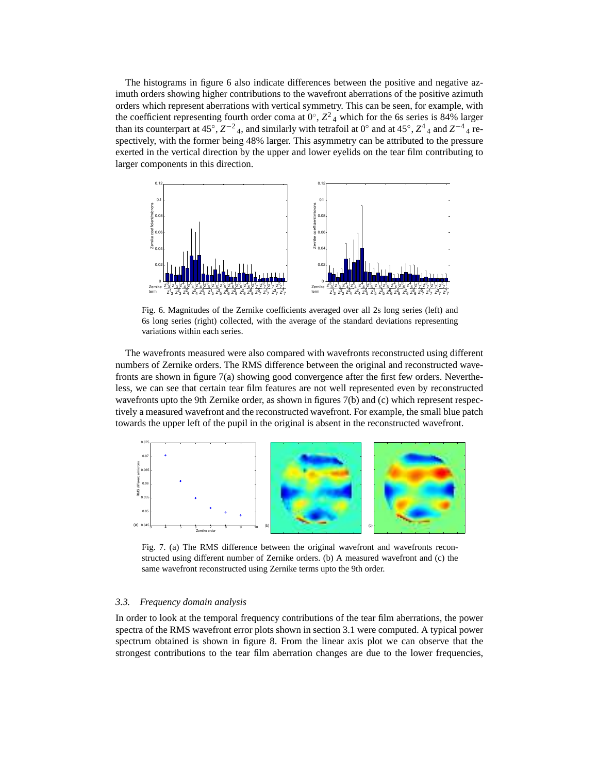The histograms in figure 6 also indicate differences between the positive and negative azimuth orders showing higher contributions to the wavefront aberrations of the positive azimuth orders which represent aberrations with vertical symmetry. This can be seen, for example, with the coefficient representing fourth order coma at  $0^\circ$ ,  $Z^2$  4 which for the 6s series is 84% larger than its counterpart at 45°,  $Z^{-2}$ <sub>4</sub>, and similarly with tetrafoil at 0° and at 45°,  $Z^4$ <sub>4</sub> and  $Z^{-4}$ <sub>4</sub> respectively, with the former being 48% larger. This asymmetry can be attributed to the pressure exerted in the vertical direction by the upper and lower eyelids on the tear film contributing to larger components in this direction.



Fig. 6. Magnitudes of the Zernike coefficients averaged over all 2s long series (left) and 6s long series (right) collected, with the average of the standard deviations representing variations within each series.

The wavefronts measured were also compared with wavefronts reconstructed using different numbers of Zernike orders. The RMS difference between the original and reconstructed wavefronts are shown in figure 7(a) showing good convergence after the first few orders. Nevertheless, we can see that certain tear film features are not well represented even by reconstructed wavefronts upto the 9th Zernike order, as shown in figures 7(b) and (c) which represent respectively a measured wavefront and the reconstructed wavefront. For example, the small blue patch towards the upper left of the pupil in the original is absent in the reconstructed wavefront.



Fig. 7. (a) The RMS difference between the original wavefront and wavefronts reconstructed using different number of Zernike orders. (b) A measured wavefront and (c) the same wavefront reconstructed using Zernike terms upto the 9th order.

#### *3.3. Frequency domain analysis*

In order to look at the temporal frequency contributions of the tear film aberrations, the power spectra of the RMS wavefront error plots shown in section 3.1 were computed. A typical power spectrum obtained is shown in figure 8. From the linear axis plot we can observe that the strongest contributions to the tear film aberration changes are due to the lower frequencies,